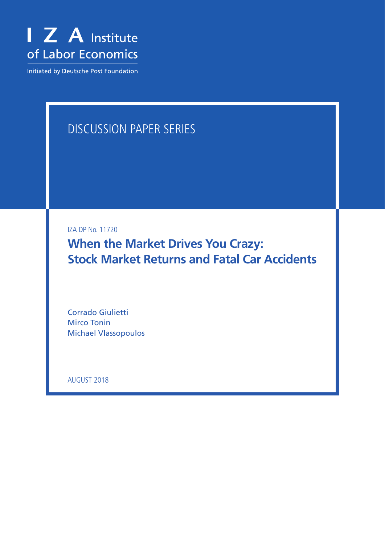

Initiated by Deutsche Post Foundation

# DISCUSSION PAPER SERIES

IZA DP No. 11720

**When the Market Drives You Crazy: Stock Market Returns and Fatal Car Accidents**

Corrado Giulietti Mirco Tonin Michael Vlassopoulos

AUGUST 2018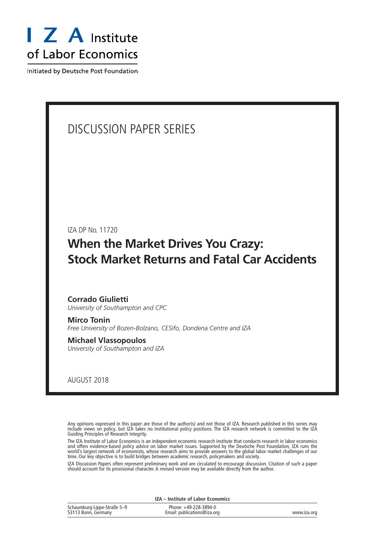

Initiated by Deutsche Post Foundation

## DISCUSSION PAPER SERIES

IZA DP No. 11720

## **When the Market Drives You Crazy: Stock Market Returns and Fatal Car Accidents**

### **Corrado Giulietti** *University of Southampton and CPC*

**Mirco Tonin** *Free University of Bozen-Bolzano, CESifo, Dondena Centre and IZA*

**Michael Vlassopoulos** *University of Southampton and IZA*

AUGUST 2018

Any opinions expressed in this paper are those of the author(s) and not those of IZA. Research published in this series may include views on policy, but IZA takes no institutional policy positions. The IZA research network is committed to the IZA Guiding Principles of Research Integrity.

The IZA Institute of Labor Economics is an independent economic research institute that conducts research in labor economics and offers evidence-based policy advice on labor market issues. Supported by the Deutsche Post Foundation, IZA runs the world's largest network of economists, whose research aims to provide answers to the global labor market challenges of our time. Our key objective is to build bridges between academic research, policymakers and society.

IZA Discussion Papers often represent preliminary work and are circulated to encourage discussion. Citation of such a paper should account for its provisional character. A revised version may be available directly from the author.

|                                                    | IZA – Institute of Labor Economics                   |             |
|----------------------------------------------------|------------------------------------------------------|-------------|
| Schaumburg-Lippe-Straße 5-9<br>53113 Bonn, Germany | Phone: +49-228-3894-0<br>Email: publications@iza.org | www.iza.org |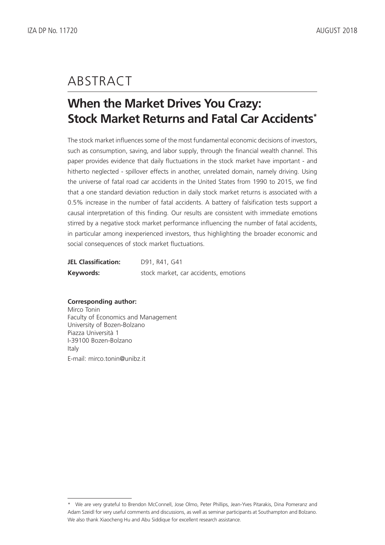## ABSTRACT

## **When the Market Drives You Crazy: Stock Market Returns and Fatal Car Accidents\***

The stock market influences some of the most fundamental economic decisions of investors, such as consumption, saving, and labor supply, through the financial wealth channel. This paper provides evidence that daily fluctuations in the stock market have important - and hitherto neglected - spillover effects in another, unrelated domain, namely driving. Using the universe of fatal road car accidents in the United States from 1990 to 2015, we find that a one standard deviation reduction in daily stock market returns is associated with a 0.5% increase in the number of fatal accidents. A battery of falsification tests support a causal interpretation of this finding. Our results are consistent with immediate emotions stirred by a negative stock market performance influencing the number of fatal accidents, in particular among inexperienced investors, thus highlighting the broader economic and social consequences of stock market fluctuations.

| <b>JEL Classification:</b> | D91, R41, G41                         |
|----------------------------|---------------------------------------|
| Keywords:                  | stock market, car accidents, emotions |

### **Corresponding author:**

Mirco Tonin Faculty of Economics and Management University of Bozen-Bolzano Piazza Università 1 I-39100 Bozen-Bolzano Italy E-mail: mirco.tonin@unibz.it

<sup>\*</sup> We are very grateful to Brendon McConnell, Jose Olmo, Peter Phillips, Jean-Yves Pitarakis, Dina Pomeranz and Adam Szeidl for very useful comments and discussions, as well as seminar participants at Southampton and Bolzano. We also thank Xiaocheng Hu and Abu Siddique for excellent research assistance.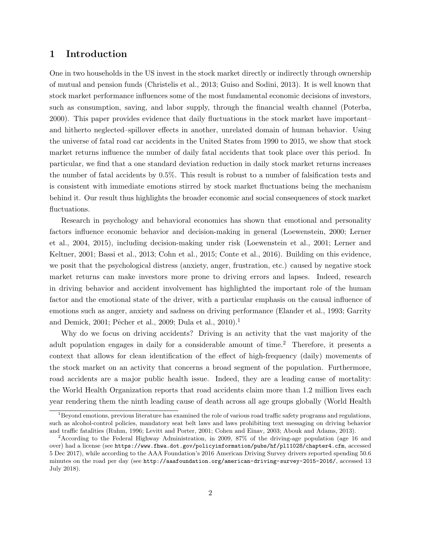### 1 Introduction

One in two households in the US invest in the stock market directly or indirectly through ownership of mutual and pension funds [\(Christelis et al., 2013;](#page-20-0) [Guiso and Sodini, 2013\)](#page-21-0). It is well known that stock market performance influences some of the most fundamental economic decisions of investors, such as consumption, saving, and labor supply, through the financial wealth channel [\(Poterba,](#page-22-0) [2000\)](#page-22-0). This paper provides evidence that daily fluctuations in the stock market have important– and hitherto neglected–spillover effects in another, unrelated domain of human behavior. Using the universe of fatal road car accidents in the United States from 1990 to 2015, we show that stock market returns influence the number of daily fatal accidents that took place over this period. In particular, we find that a one standard deviation reduction in daily stock market returns increases the number of fatal accidents by 0.5%. This result is robust to a number of falsification tests and is consistent with immediate emotions stirred by stock market fluctuations being the mechanism behind it. Our result thus highlights the broader economic and social consequences of stock market fluctuations.

Research in psychology and behavioral economics has shown that emotional and personality factors influence economic behavior and decision-making in general [\(Loewenstein, 2000;](#page-22-1) [Lerner](#page-22-2) [et al., 2004,](#page-22-2) [2015\)](#page-22-3), including decision-making under risk [\(Loewenstein et al., 2001;](#page-22-4) [Lerner and](#page-22-5) [Keltner, 2001;](#page-22-5) [Bassi et al., 2013;](#page-20-1) [Cohn et al., 2015;](#page-20-2) [Conte et al., 2016\)](#page-20-3). Building on this evidence, we posit that the psychological distress (anxiety, anger, frustration, etc.) caused by negative stock market returns can make investors more prone to driving errors and lapses. Indeed, research in driving behavior and accident involvement has highlighted the important role of the human factor and the emotional state of the driver, with a particular emphasis on the causal influence of emotions such as anger, anxiety and sadness on driving performance [\(Elander et al., 1993;](#page-21-1) [Garrity](#page-21-2) [and Demick, 2001;](#page-21-2) Pêcher et al., 2009; [Dula et al., 2010\)](#page-21-3).<sup>[1](#page-3-0)</sup>

Why do we focus on driving accidents? Driving is an activity that the vast majority of the adult population engages in daily for a considerable amount of time.[2](#page-3-1) Therefore, it presents a context that allows for clean identification of the effect of high-frequency (daily) movements of the stock market on an activity that concerns a broad segment of the population. Furthermore, road accidents are a major public health issue. Indeed, they are a leading cause of mortality: the World Health Organization reports that road accidents claim more than 1.2 million lives each year rendering them the ninth leading cause of death across all age groups globally [\(World Health](#page-23-0)

<span id="page-3-0"></span><sup>&</sup>lt;sup>1</sup>[Beyond emotions, previous literature has examined the role of various road traffic safety programs and regulations,](#page-23-0) [such as alcohol-control policies, mandatory seat belt laws and laws prohibiting text messaging on driving behavior](#page-23-0) [and traffic fatalities \(Ruhm, 1996; Levitt and Porter, 2001; Cohen and Einav, 2003; Abouk and Adams, 2013\).](#page-23-0)

<span id="page-3-1"></span><sup>2</sup>[According to the Federal Highway Administration, in 2009, 87% of the driving-age population \(age 16 and](#page-23-0) over) had a license (see [https://www.fhwa.dot.gov/policyinformation/pubs/hf/pl11028/chapter4.cfm](#page-23-0), accessed [5 Dec 2017\), while according to the AAA Foundation's 2016 American Driving Survey drivers reported spending 50.6](#page-23-0) minutes on the road per day (see [http://aaafoundation.org/american-driving-survey-2015-2016/](#page-23-0), accessed 13 [July 2018\).](#page-23-0)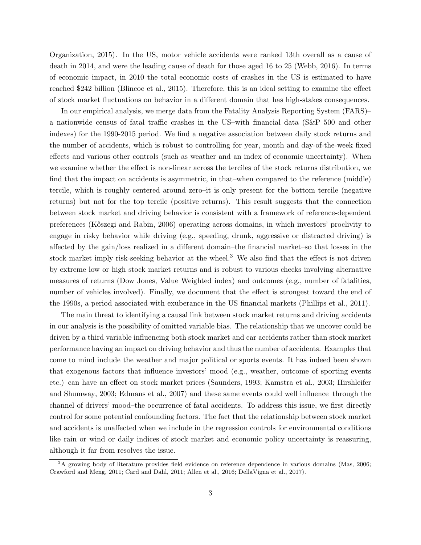[Organization, 2015\)](#page-23-0). In the US, motor vehicle accidents were ranked 13th overall as a cause of death in 2014, and were the leading cause of death for those aged 16 to 25 [\(Webb, 2016\)](#page-23-1). In terms of economic impact, in 2010 the total economic costs of crashes in the US is estimated to have reached \$242 billion [\(Blincoe et al., 2015\)](#page-20-6). Therefore, this is an ideal setting to examine the effect of stock market fluctuations on behavior in a different domain that has high-stakes consequences.

In our empirical analysis, we merge data from the Fatality Analysis Reporting System (FARS)– a nationwide census of fatal traffic crashes in the US–with financial data (S&P 500 and other indexes) for the 1990-2015 period. We find a negative association between daily stock returns and the number of accidents, which is robust to controlling for year, month and day-of-the-week fixed effects and various other controls (such as weather and an index of economic uncertainty). When we examine whether the effect is non-linear across the terciles of the stock returns distribution, we find that the impact on accidents is asymmetric, in that–when compared to the reference (middle) tercile, which is roughly centered around zero–it is only present for the bottom tercile (negative returns) but not for the top tercile (positive returns). This result suggests that the connection between stock market and driving behavior is consistent with a framework of reference-dependent preferences [\(K˝oszegi and Rabin, 2006\)](#page-22-9) operating across domains, in which investors' proclivity to engage in risky behavior while driving (e.g., speeding, drunk, aggressive or distracted driving) is affected by the gain/loss realized in a different domain–the financial market–so that losses in the stock market imply risk-seeking behavior at the wheel.<sup>[3](#page-4-0)</sup> We also find that the effect is not driven by extreme low or high stock market returns and is robust to various checks involving alternative measures of returns (Dow Jones, Value Weighted index) and outcomes (e.g., number of fatalities, number of vehicles involved). Finally, we document that the effect is strongest toward the end of the 1990s, a period associated with exuberance in the US financial markets [\(Phillips et al., 2011\)](#page-22-10).

The main threat to identifying a causal link between stock market returns and driving accidents in our analysis is the possibility of omitted variable bias. The relationship that we uncover could be driven by a third variable influencing both stock market and car accidents rather than stock market performance having an impact on driving behavior and thus the number of accidents. Examples that come to mind include the weather and major political or sports events. It has indeed been shown that exogenous factors that influence investors' mood (e.g., weather, outcome of sporting events etc.) can have an effect on stock market prices [\(Saunders, 1993;](#page-23-2) [Kamstra et al., 2003;](#page-22-11) [Hirshleifer](#page-21-4) [and Shumway, 2003;](#page-21-4) [Edmans et al., 2007\)](#page-21-5) and these same events could well influence–through the channel of drivers' mood–the occurrence of fatal accidents. To address this issue, we first directly control for some potential confounding factors. The fact that the relationship between stock market and accidents is unaffected when we include in the regression controls for environmental conditions like rain or wind or daily indices of stock market and economic policy uncertainty is reassuring, although it far from resolves the issue.

<span id="page-4-0"></span><sup>&</sup>lt;sup>3</sup>A growing body of literature provides field evidence on reference dependence in various domains [\(Mas, 2006;](#page-22-12) [Crawford and Meng, 2011;](#page-21-6) [Card and Dahl, 2011;](#page-20-7) [Allen et al., 2016;](#page-20-8) [DellaVigna et al., 2017\)](#page-21-7).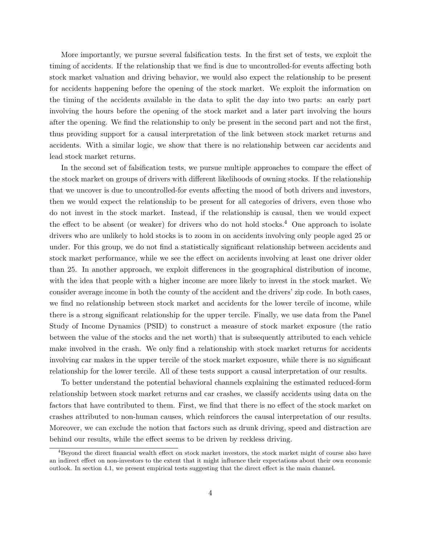More importantly, we pursue several falsification tests. In the first set of tests, we exploit the timing of accidents. If the relationship that we find is due to uncontrolled-for events affecting both stock market valuation and driving behavior, we would also expect the relationship to be present for accidents happening before the opening of the stock market. We exploit the information on the timing of the accidents available in the data to split the day into two parts: an early part involving the hours before the opening of the stock market and a later part involving the hours after the opening. We find the relationship to only be present in the second part and not the first, thus providing support for a causal interpretation of the link between stock market returns and accidents. With a similar logic, we show that there is no relationship between car accidents and lead stock market returns.

In the second set of falsification tests, we pursue multiple approaches to compare the effect of the stock market on groups of drivers with different likelihoods of owning stocks. If the relationship that we uncover is due to uncontrolled-for events affecting the mood of both drivers and investors, then we would expect the relationship to be present for all categories of drivers, even those who do not invest in the stock market. Instead, if the relationship is causal, then we would expect the effect to be absent (or weaker) for drivers who do not hold stocks.<sup>[4](#page-5-0)</sup> One approach to isolate drivers who are unlikely to hold stocks is to zoom in on accidents involving only people aged 25 or under. For this group, we do not find a statistically significant relationship between accidents and stock market performance, while we see the effect on accidents involving at least one driver older than 25. In another approach, we exploit differences in the geographical distribution of income, with the idea that people with a higher income are more likely to invest in the stock market. We consider average income in both the county of the accident and the drivers' zip code. In both cases, we find no relationship between stock market and accidents for the lower tercile of income, while there is a strong significant relationship for the upper tercile. Finally, we use data from the Panel Study of Income Dynamics (PSID) to construct a measure of stock market exposure (the ratio between the value of the stocks and the net worth) that is subsequently attributed to each vehicle make involved in the crash. We only find a relationship with stock market returns for accidents involving car makes in the upper tercile of the stock market exposure, while there is no significant relationship for the lower tercile. All of these tests support a causal interpretation of our results.

To better understand the potential behavioral channels explaining the estimated reduced-form relationship between stock market returns and car crashes, we classify accidents using data on the factors that have contributed to them. First, we find that there is no effect of the stock market on crashes attributed to non-human causes, which reinforces the causal interpretation of our results. Moreover, we can exclude the notion that factors such as drunk driving, speed and distraction are behind our results, while the effect seems to be driven by reckless driving.

<span id="page-5-0"></span><sup>4</sup>Beyond the direct financial wealth effect on stock market investors, the stock market might of course also have an indirect effect on non-investors to the extent that it might influence their expectations about their own economic outlook. In section [4.1,](#page-13-0) we present empirical tests suggesting that the direct effect is the main channel.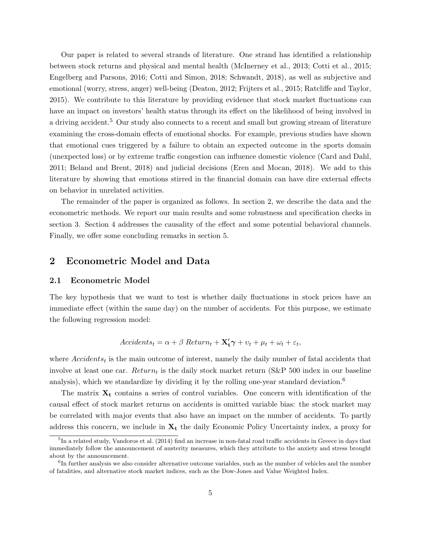Our paper is related to several strands of literature. One strand has identified a relationship between stock returns and physical and mental health [\(McInerney et al., 2013;](#page-22-13) [Cotti et al., 2015;](#page-20-9) [Engelberg and Parsons, 2016;](#page-21-8) [Cotti and Simon, 2018;](#page-20-10) [Schwandt, 2018\)](#page-23-3), as well as subjective and emotional (worry, stress, anger) well-being [\(Deaton, 2012;](#page-21-9) [Frijters et al., 2015;](#page-21-10) [Ratcliffe and Taylor,](#page-22-14) [2015\)](#page-22-14). We contribute to this literature by providing evidence that stock market fluctuations can have an impact on investors' health status through its effect on the likelihood of being involved in a driving accident.<sup>[5](#page-6-0)</sup> Our study also connects to a recent and small but growing stream of literature examining the cross-domain effects of emotional shocks. For example, previous studies have shown that emotional cues triggered by a failure to obtain an expected outcome in the sports domain (unexpected loss) or by extreme traffic congestion can influence domestic violence [\(Card and Dahl,](#page-20-7) [2011;](#page-20-7) [Beland and Brent, 2018\)](#page-20-11) and judicial decisions [\(Eren and Mocan, 2018\)](#page-21-11). We add to this literature by showing that emotions stirred in the financial domain can have dire external effects on behavior in unrelated activities.

The remainder of the paper is organized as follows. In section [2,](#page-6-1) we describe the data and the econometric methods. We report our main results and some robustness and specification checks in section [3.](#page-8-0) Section [4](#page-13-1) addresses the causality of the effect and some potential behavioral channels. Finally, we offer some concluding remarks in section [5.](#page-18-0)

### <span id="page-6-1"></span>2 Econometric Model and Data

#### 2.1 Econometric Model

The key hypothesis that we want to test is whether daily fluctuations in stock prices have an immediate effect (within the same day) on the number of accidents. For this purpose, we estimate the following regression model:

$$
Accidents_t = \alpha + \beta \ Return_t + \mathbf{X'_t} \gamma + v_t + \mu_t + \omega_t + \varepsilon_t,
$$

where  $Accidents_t$  is the main outcome of interest, namely the daily number of fatal accidents that involve at least one car.  $Return_t$  is the daily stock market return (S&P 500 index in our baseline analysis), which we standardize by dividing it by the rolling one-year standard deviation.<sup>[6](#page-6-2)</sup>

The matrix  $X_t$  contains a series of control variables. One concern with identification of the causal effect of stock market returns on accidents is omitted variable bias: the stock market may be correlated with major events that also have an impact on the number of accidents. To partly address this concern, we include in  $X_t$  the daily Economic Policy Uncertainty index, a proxy for

<span id="page-6-0"></span> ${}^{5}$ In a related study, [Vandoros et al.](#page-23-4) [\(2014\)](#page-23-4) find an increase in non-fatal road traffic accidents in Greece in days that immediately follow the announcement of austerity measures, which they attribute to the anxiety and stress brought about by the announcement.

<span id="page-6-2"></span><sup>&</sup>lt;sup>6</sup>In further analysis we also consider alternative outcome variables, such as the number of vehicles and the number of fatalities, and alternative stock market indices, such as the Dow-Jones and Value Weighted Index.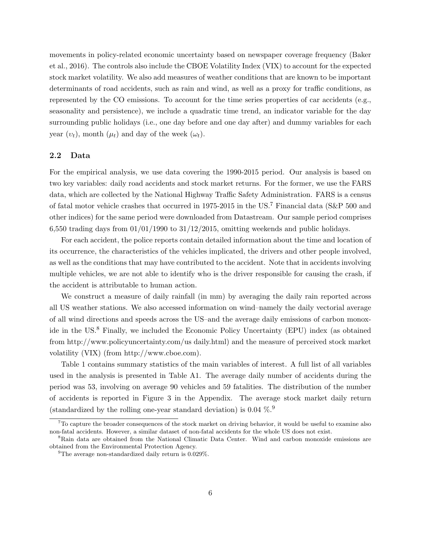movements in policy-related economic uncertainty based on newspaper coverage frequency [\(Baker](#page-20-12) [et al., 2016\)](#page-20-12). The controls also include the CBOE Volatility Index (VIX) to account for the expected stock market volatility. We also add measures of weather conditions that are known to be important determinants of road accidents, such as rain and wind, as well as a proxy for traffic conditions, as represented by the CO emissions. To account for the time series properties of car accidents (e.g., seasonality and persistence), we include a quadratic time trend, an indicator variable for the day surrounding public holidays (i.e., one day before and one day after) and dummy variables for each year  $(v_t)$ , month  $(\mu_t)$  and day of the week  $(\omega_t)$ .

#### 2.2 Data

For the empirical analysis, we use data covering the 1990-2015 period. Our analysis is based on two key variables: daily road accidents and stock market returns. For the former, we use the FARS data, which are collected by the National Highway Traffic Safety Administration. FARS is a census of fatal motor vehicle crashes that occurred in 1975-2015 in the US.[7](#page-7-0) Financial data (S&P 500 and other indices) for the same period were downloaded from Datastream. Our sample period comprises 6,550 trading days from  $01/01/1990$  to  $31/12/2015$ , omitting weekends and public holidays.

For each accident, the police reports contain detailed information about the time and location of its occurrence, the characteristics of the vehicles implicated, the drivers and other people involved, as well as the conditions that may have contributed to the accident. Note that in accidents involving multiple vehicles, we are not able to identify who is the driver responsible for causing the crash, if the accident is attributable to human action.

We construct a measure of daily rainfall (in mm) by averaging the daily rain reported across all US weather stations. We also accessed information on wind–namely the daily vectorial average of all wind directions and speeds across the US–and the average daily emissions of carbon monoxide in the US.[8](#page-7-1) Finally, we included the Economic Policy Uncertainty (EPU) index (as obtained from http://www.policyuncertainty.com/us daily.html) and the measure of perceived stock market volatility (VIX) (from http://www.cboe.com).

Table [1](#page-8-1) contains summary statistics of the main variables of interest. A full list of all variables used in the analysis is presented in Table [A1.](#page-24-0) The average daily number of accidents during the period was 53, involving on average 90 vehicles and 59 fatalities. The distribution of the number of accidents is reported in Figure [3](#page-24-1) in the Appendix. The average stock market daily return (standardized by the rolling one-year standard deviation) is 0.04  $\%$ .

<span id="page-7-0"></span><sup>&</sup>lt;sup>7</sup>To capture the broader consequences of the stock market on driving behavior, it would be useful to examine also non-fatal accidents. However, a similar dataset of non-fatal accidents for the whole US does not exist.

<span id="page-7-1"></span><sup>&</sup>lt;sup>8</sup>Rain data are obtained from the National Climatic Data Center. Wind and carbon monoxide emissions are obtained from the Environmental Protection Agency.

<span id="page-7-2"></span><sup>&</sup>lt;sup>9</sup>The average non-standardized daily return is  $0.029\%$ .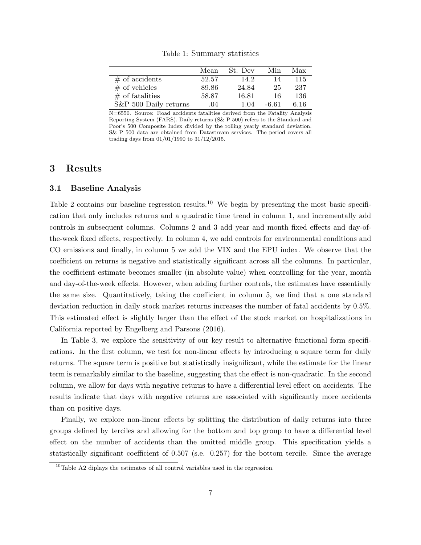<span id="page-8-1"></span>

|                       | Mean  | St. Dev | Min   | Max  |
|-----------------------|-------|---------|-------|------|
| $#$ of accidents      | 52.57 | 14.2    | 14    | 115  |
| $\#$ of vehicles      | 89.86 | 24.84   | 25    | 237  |
| $\#$ of fatalities    | 58.87 | 16.81   | 16    | 136  |
| S&P 500 Daily returns | .04   | 1.04    | -6.61 | 6.16 |

Table 1: Summary statistics

N=6550. Source: Road accidents fatalities derived from the Fatality Analysis Reporting System (FARS). Daily returns (S& P 500) refers to the Standard and Poor's 500 Composite Index divided by the rolling yearly standard deviation. S& P 500 data are obtained from Datastream services. The period covers all trading days from 01/01/1990 to 31/12/2015.

### <span id="page-8-0"></span>3 Results

#### 3.1 Baseline Analysis

Table [2](#page-9-0) contains our baseline regression results.<sup>[10](#page-8-2)</sup> We begin by presenting the most basic specification that only includes returns and a quadratic time trend in column 1, and incrementally add controls in subsequent columns. Columns 2 and 3 add year and month fixed effects and day-ofthe-week fixed effects, respectively. In column 4, we add controls for environmental conditions and CO emissions and finally, in column 5 we add the VIX and the EPU index. We observe that the coefficient on returns is negative and statistically significant across all the columns. In particular, the coefficient estimate becomes smaller (in absolute value) when controlling for the year, month and day-of-the-week effects. However, when adding further controls, the estimates have essentially the same size. Quantitatively, taking the coefficient in column 5, we find that a one standard deviation reduction in daily stock market returns increases the number of fatal accidents by 0.5%. This estimated effect is slightly larger than the effect of the stock market on hospitalizations in California reported by [Engelberg and Parsons](#page-21-8) [\(2016\)](#page-21-8).

In Table [3,](#page-10-0) we explore the sensitivity of our key result to alternative functional form specifications. In the first column, we test for non-linear effects by introducing a square term for daily returns. The square term is positive but statistically insignificant, while the estimate for the linear term is remarkably similar to the baseline, suggesting that the effect is non-quadratic. In the second column, we allow for days with negative returns to have a differential level effect on accidents. The results indicate that days with negative returns are associated with significantly more accidents than on positive days.

Finally, we explore non-linear effects by splitting the distribution of daily returns into three groups defined by terciles and allowing for the bottom and top group to have a differential level effect on the number of accidents than the omitted middle group. This specification yields a statistically significant coefficient of 0.507 (s.e. 0.257) for the bottom tercile. Since the average

<span id="page-8-2"></span> $10$ Table [A2](#page-25-0) diplays the estimates of all control variables used in the regression.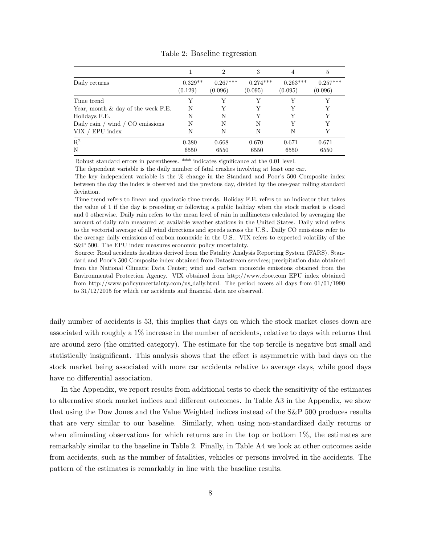<span id="page-9-0"></span>

|                                                |                       | $\mathfrak{D}$         | 3                      | 4                      | 5                      |
|------------------------------------------------|-----------------------|------------------------|------------------------|------------------------|------------------------|
| Daily returns                                  | $-0.329**$<br>(0.129) | $-0.267***$<br>(0.096) | $-0.274***$<br>(0.095) | $-0.263***$<br>(0.095) | $-0.257***$<br>(0.096) |
| Time trend                                     | Y                     |                        |                        |                        | Y                      |
| Year, month $\&$ day of the week F.E.          | N                     |                        |                        | Y                      | Y                      |
| Holidays F.E.                                  | N                     | N                      | v                      | V                      | Y                      |
| Daily rain $\prime$ wind $\prime$ CO emissions | N                     | N                      | N                      | v                      | Y                      |
| VIX / EPU index                                | N                     | N                      | N                      | N                      | Y                      |
| $\mathbf{R}^2$                                 | 0.380                 | 0.668                  | 0.670                  | 0.671                  | 0.671                  |
| N                                              | 6550                  | 6550                   | 6550                   | 6550                   | 6550                   |

Table 2: Baseline regression

Robust standard errors in parentheses. \*\*\* indicates significance at the 0.01 level.

The dependent variable is the daily number of fatal crashes involving at least one car.

The key independent variable is the % change in the Standard and Poor's 500 Composite index between the day the index is observed and the previous day, divided by the one-year rolling standard deviation.

Time trend refers to linear and quadratic time trends. Holiday F.E. refers to an indicator that takes the value of 1 if the day is preceding or following a public holiday when the stock market is closed and 0 otherwise. Daily rain refers to the mean level of rain in millimeters calculated by averaging the amount of daily rain measured at available weather stations in the United States. Daily wind refers to the vectorial average of all wind directions and speeds across the U.S.. Daily CO emissions refer to the average daily emissions of carbon monoxide in the U.S.. VIX refers to expected volatility of the S&P 500. The EPU index measures economic policy uncertainty.

Source: Road accidents fatalities derived from the Fatality Analysis Reporting System (FARS). Standard and Poor's 500 Composite index obtained from Datastream services; precipitation data obtained from the National Climatic Data Center; wind and carbon monoxide emissions obtained from the Environmental Protection Agency. VIX obtained from http://www.cboe.com EPU index obtained from http://www.policyuncertainty.com/us daily.html. The period covers all days from 01/01/1990 to 31/12/2015 for which car accidents and financial data are observed.

daily number of accidents is 53, this implies that days on which the stock market closes down are associated with roughly a 1% increase in the number of accidents, relative to days with returns that are around zero (the omitted category). The estimate for the top tercile is negative but small and statistically insignificant. This analysis shows that the effect is asymmetric with bad days on the stock market being associated with more car accidents relative to average days, while good days have no differential association.

In the Appendix, we report results from additional tests to check the sensitivity of the estimates to alternative stock market indices and different outcomes. In Table [A3](#page-26-0) in the Appendix, we show that using the Dow Jones and the Value Weighted indices instead of the S&P 500 produces results that are very similar to our baseline. Similarly, when using non-standardized daily returns or when eliminating observations for which returns are in the top or bottom  $1\%$ , the estimates are remarkably similar to the baseline in Table [2.](#page-9-0) Finally, in Table [A4](#page-26-1) we look at other outcomes aside from accidents, such as the number of fatalities, vehicles or persons involved in the accidents. The pattern of the estimates is remarkably in line with the baseline results.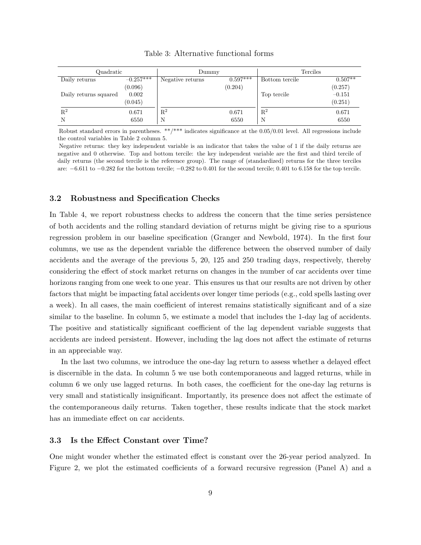<span id="page-10-0"></span>

| Quadratic             |             | Dummy            |            | <b>Terciles</b> |           |
|-----------------------|-------------|------------------|------------|-----------------|-----------|
| Daily returns         | $-0.257***$ | Negative returns | $0.597***$ | Bottom tercile  | $0.507**$ |
|                       | (0.096)     |                  | (0.204)    |                 | (0.257)   |
| Daily returns squared | 0.002       |                  |            | Top tercile     | $-0.151$  |
|                       | (0.045)     |                  |            |                 | (0.251)   |
| $\mathbf{R}^2$        | 0.671       | $\mathbf{R}^2$   | 0.671      | $\mathbf{R}^2$  | 0.671     |
| N                     | 6550        | N                | 6550       | N               | 6550      |

Table 3: Alternative functional forms

Robust standard errors in parentheses. \*\*/\*\*\* indicates significance at the 0.05/0.01 level. All regressions include the control variables in Table [2](#page-9-0) column 5.

Negative returns: they key independent variable is an indicator that takes the value of 1 if the daily returns are negative and 0 otherwise. Top and bottom tercile: the key independent variable are the first and third tercile of daily returns (the second tercile is the reference group). The range of (standardized) returns for the three terciles are: −6.611 to −0.282 for the bottom tercile; −0.282 to 0.401 for the second tercile; 0.401 to 6.158 for the top tercile.

#### 3.2 Robustness and Specification Checks

In Table [4,](#page-11-0) we report robustness checks to address the concern that the time series persistence of both accidents and the rolling standard deviation of returns might be giving rise to a spurious regression problem in our baseline specification [\(Granger and Newbold, 1974\)](#page-21-12). In the first four columns, we use as the dependent variable the difference between the observed number of daily accidents and the average of the previous 5, 20, 125 and 250 trading days, respectively, thereby considering the effect of stock market returns on changes in the number of car accidents over time horizons ranging from one week to one year. This ensures us that our results are not driven by other factors that might be impacting fatal accidents over longer time periods (e.g., cold spells lasting over a week). In all cases, the main coefficient of interest remains statistically significant and of a size similar to the baseline. In column 5, we estimate a model that includes the 1-day lag of accidents. The positive and statistically significant coefficient of the lag dependent variable suggests that accidents are indeed persistent. However, including the lag does not affect the estimate of returns in an appreciable way.

In the last two columns, we introduce the one-day lag return to assess whether a delayed effect is discernible in the data. In column 5 we use both contemporaneous and lagged returns, while in column 6 we only use lagged returns. In both cases, the coefficient for the one-day lag returns is very small and statistically insignificant. Importantly, its presence does not affect the estimate of the contemporaneous daily returns. Taken together, these results indicate that the stock market has an immediate effect on car accidents.

#### 3.3 Is the Effect Constant over Time?

One might wonder whether the estimated effect is constant over the 26-year period analyzed. In Figure [2,](#page-17-0) we plot the estimated coefficients of a forward recursive regression (Panel A) and a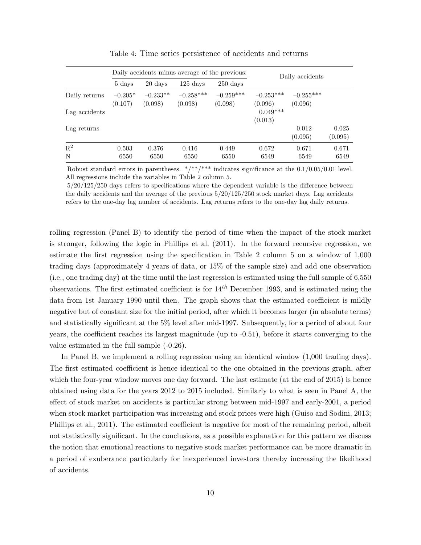<span id="page-11-0"></span>

|                |                      |                       | Daily accidents minus average of the previous: |                        |                        | Daily accidents        |                  |
|----------------|----------------------|-----------------------|------------------------------------------------|------------------------|------------------------|------------------------|------------------|
|                | 5 days               | 20 days               | $125 \text{ days}$                             | $250 \text{ days}$     |                        |                        |                  |
| Daily returns  | $-0.205*$<br>(0.107) | $-0.233**$<br>(0.098) | $-0.258***$<br>(0.098)                         | $-0.259***$<br>(0.098) | $-0.253***$<br>(0.096) | $-0.255***$<br>(0.096) |                  |
| Lag accidents  |                      |                       |                                                |                        | $0.049***$<br>(0.013)  |                        |                  |
| Lag returns    |                      |                       |                                                |                        |                        | 0.012<br>(0.095)       | 0.025<br>(0.095) |
| $\mathbf{R}^2$ | 0.503                | 0.376                 | 0.416                                          | 0.449                  | 0.672                  | 0.671                  | 0.671            |
| N              | 6550                 | 6550                  | 6550                                           | 6550                   | 6549                   | 6549                   | 6549             |

Table 4: Time series persistence of accidents and returns

Robust standard errors in parentheses.  $*/**/***$  indicates significance at the  $0.1/0.05/0.01$  level. All regressions include the variables in Table [2](#page-9-0) column 5.

5/20/125/250 days refers to specifications where the dependent variable is the difference between the daily accidents and the average of the previous 5/20/125/250 stock market days. Lag accidents refers to the one-day lag number of accidents. Lag returns refers to the one-day lag daily returns.

rolling regression (Panel B) to identify the period of time when the impact of the stock market is stronger, following the logic in [Phillips et al.](#page-22-10) [\(2011\)](#page-22-10). In the forward recursive regression, we estimate the first regression using the specification in Table [2](#page-9-0) column 5 on a window of 1,000 trading days (approximately 4 years of data, or 15% of the sample size) and add one observation (i.e., one trading day) at the time until the last regression is estimated using the full sample of 6,550 observations. The first estimated coefficient is for  $14<sup>th</sup>$  December 1993, and is estimated using the data from 1st January 1990 until then. The graph shows that the estimated coefficient is mildly negative but of constant size for the initial period, after which it becomes larger (in absolute terms) and statistically significant at the 5% level after mid-1997. Subsequently, for a period of about four years, the coefficient reaches its largest magnitude (up to -0.51), before it starts converging to the value estimated in the full sample (-0.26).

In Panel B, we implement a rolling regression using an identical window (1,000 trading days). The first estimated coefficient is hence identical to the one obtained in the previous graph, after which the four-year window moves one day forward. The last estimate (at the end of 2015) is hence obtained using data for the years 2012 to 2015 included. Similarly to what is seen in Panel A, the effect of stock market on accidents is particular strong between mid-1997 and early-2001, a period when stock market participation was increasing and stock prices were high [\(Guiso and Sodini, 2013;](#page-21-0) [Phillips et al., 2011\)](#page-22-10). The estimated coefficient is negative for most of the remaining period, albeit not statistically significant. In the conclusions, as a possible explanation for this pattern we discuss the notion that emotional reactions to negative stock market performance can be more dramatic in a period of exuberance–particularly for inexperienced investors–thereby increasing the likelihood of accidents.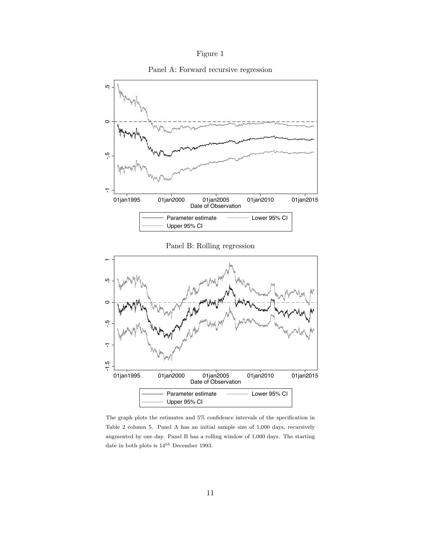

Panel A: Forward recursive regression



Panel B: Rolling regression



The graph plots the estimates and 5% confidence intervals of the specification in Table [2](#page-9-0) column 5. Panel A has an initial sample size of 1,000 days, recursively augmented by one day. Panel B has a rolling window of 1,000 days. The starting date in both plots is  $14^{th}$  December 1993.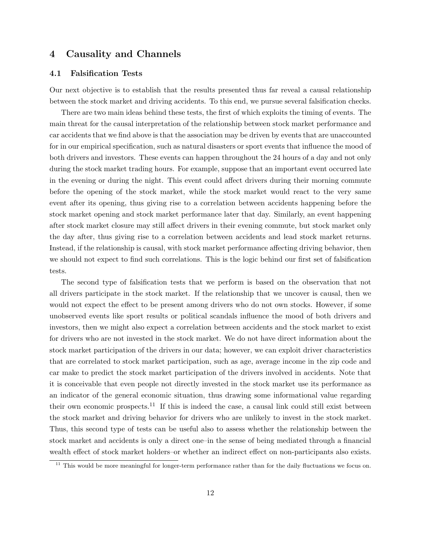### <span id="page-13-1"></span>4 Causality and Channels

#### <span id="page-13-0"></span>4.1 Falsification Tests

Our next objective is to establish that the results presented thus far reveal a causal relationship between the stock market and driving accidents. To this end, we pursue several falsification checks.

There are two main ideas behind these tests, the first of which exploits the timing of events. The main threat for the causal interpretation of the relationship between stock market performance and car accidents that we find above is that the association may be driven by events that are unaccounted for in our empirical specification, such as natural disasters or sport events that influence the mood of both drivers and investors. These events can happen throughout the 24 hours of a day and not only during the stock market trading hours. For example, suppose that an important event occurred late in the evening or during the night. This event could affect drivers during their morning commute before the opening of the stock market, while the stock market would react to the very same event after its opening, thus giving rise to a correlation between accidents happening before the stock market opening and stock market performance later that day. Similarly, an event happening after stock market closure may still affect drivers in their evening commute, but stock market only the day after, thus giving rise to a correlation between accidents and lead stock market returns. Instead, if the relationship is causal, with stock market performance affecting driving behavior, then we should not expect to find such correlations. This is the logic behind our first set of falsification tests.

The second type of falsification tests that we perform is based on the observation that not all drivers participate in the stock market. If the relationship that we uncover is causal, then we would not expect the effect to be present among drivers who do not own stocks. However, if some unobserved events like sport results or political scandals influence the mood of both drivers and investors, then we might also expect a correlation between accidents and the stock market to exist for drivers who are not invested in the stock market. We do not have direct information about the stock market participation of the drivers in our data; however, we can exploit driver characteristics that are correlated to stock market participation, such as age, average income in the zip code and car make to predict the stock market participation of the drivers involved in accidents. Note that it is conceivable that even people not directly invested in the stock market use its performance as an indicator of the general economic situation, thus drawing some informational value regarding their own economic prospects.<sup>[11](#page-13-2)</sup> If this is indeed the case, a causal link could still exist between the stock market and driving behavior for drivers who are unlikely to invest in the stock market. Thus, this second type of tests can be useful also to assess whether the relationship between the stock market and accidents is only a direct one–in the sense of being mediated through a financial wealth effect of stock market holders–or whether an indirect effect on non-participants also exists.

<span id="page-13-2"></span> $11$  This would be more meaningful for longer-term performance rather than for the daily fluctuations we focus on.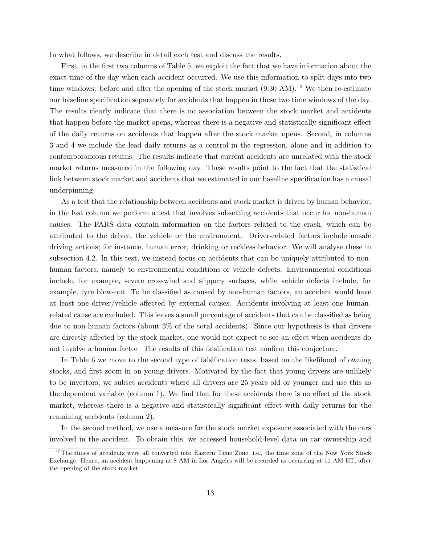In what follows, we describe in detail each test and discuss the results.

First, in the first two columns of Table [5,](#page-15-0) we exploit the fact that we have information about the exact time of the day when each accident occurred. We use this information to split days into two time windows: before and after the opening of the stock market  $(9:30 \text{ AM})$ .<sup>[12](#page-14-0)</sup> We then re-estimate our baseline specification separately for accidents that happen in these two time windows of the day. The results clearly indicate that there is no association between the stock market and accidents that happen before the market opens, whereas there is a negative and statistically significant effect of the daily returns on accidents that happen after the stock market opens. Second, in columns 3 and 4 we include the lead daily returns as a control in the regression, alone and in addition to contemporaneous returns. The results indicate that current accidents are unrelated with the stock market returns measured in the following day. These results point to the fact that the statistical link between stock market and accidents that we estimated in our baseline specification has a causal underpinning.

As a test that the relationship between accidents and stock market is driven by human behavior, in the last column we perform a test that involves subsetting accidents that occur for non-human causes. The FARS data contain information on the factors related to the crash, which can be attributed to the driver, the vehicle or the environment. Driver-related factors include unsafe driving actions; for instance, human error, drinking or reckless behavior. We will analyse these in subsection [4.2.](#page-17-1) In this test, we instead focus on accidents that can be uniquely attributed to nonhuman factors, namely to environmental conditions or vehicle defects. Environmental conditions include, for example, severe crosswind and slippery surfaces, while vehicle defects include, for example, tyre blow-out. To be classified as caused by non-human factors, an accident would have at least one driver/vehicle affected by external causes. Accidents involving at least one humanrelated cause are excluded. This leaves a small percentage of accidents that can be classified as being due to non-human factors (about 3% of the total accidents). Since our hypothesis is that drivers are directly affected by the stock market, one would not expect to see an effect when accidents do not involve a human factor. The results of this falsification test confirm this conjecture.

In Table [6](#page-16-0) we move to the second type of falsification tests, based on the likelihood of owning stocks, and first zoom in on young drivers. Motivated by the fact that young drivers are unlikely to be investors, we subset accidents where all drivers are 25 years old or younger and use this as the dependent variable (column 1). We find that for these accidents there is no effect of the stock market, whereas there is a negative and statistically significant effect with daily returns for the remaining accidents (column 2).

In the second method, we use a measure for the stock market exposure associated with the cars involved in the accident. To obtain this, we accessed household-level data on car ownership and

<span id="page-14-0"></span><sup>&</sup>lt;sup>12</sup>The times of accidents were all converted into Eastern Time Zone, i.e., the time zone of the New York Stock Exchange. Hence, an accident happening at 8 AM in Los Angeles will be recorded as occurring at 11 AM ET, after the opening of the stock market.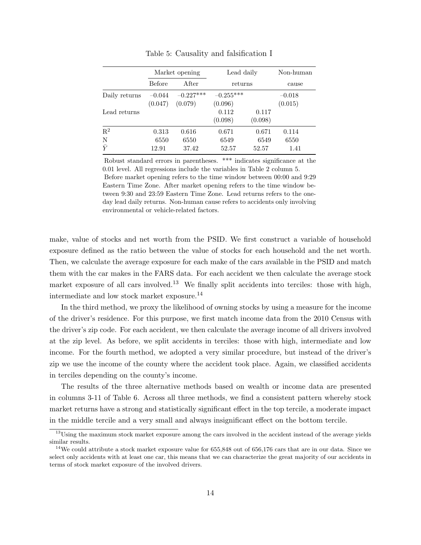<span id="page-15-0"></span>

|                |                     | Market opening         | Lead daily             |                  | Non-human           |
|----------------|---------------------|------------------------|------------------------|------------------|---------------------|
|                | <b>Before</b>       | After                  | returns                |                  | cause               |
| Daily returns  | $-0.044$<br>(0.047) | $-0.227***$<br>(0.079) | $-0.255***$<br>(0.096) |                  | $-0.018$<br>(0.015) |
| Lead returns   |                     |                        | 0.112<br>(0.098)       | 0.117<br>(0.098) |                     |
| $\mathbf{R}^2$ | 0.313               | 0.616                  | 0.671                  | 0.671            | 0.114               |
| N              | 6550                | 6550                   | 6549                   | 6549             | 6550                |
| $\bar{Y}$      | 12.91               | 37.42                  | 52.57                  | 52.57            | 1.41                |

Table 5: Causality and falsification I

Robust standard errors in parentheses. \*\*\* indicates significance at the 0.01 level. All regressions include the variables in Table [2](#page-9-0) column 5. Before market opening refers to the time window between 00:00 and 9:29 Eastern Time Zone. After market opening refers to the time window between 9:30 and 23:59 Eastern Time Zone. Lead returns refers to the oneday lead daily returns. Non-human cause refers to accidents only involving environmental or vehicle-related factors.

make, value of stocks and net worth from the PSID. We first construct a variable of household exposure defined as the ratio between the value of stocks for each household and the net worth. Then, we calculate the average exposure for each make of the cars available in the PSID and match them with the car makes in the FARS data. For each accident we then calculate the average stock market exposure of all cars involved.<sup>[13](#page-15-1)</sup> We finally split accidents into terciles: those with high, intermediate and low stock market exposure.[14](#page-15-2)

In the third method, we proxy the likelihood of owning stocks by using a measure for the income of the driver's residence. For this purpose, we first match income data from the 2010 Census with the driver's zip code. For each accident, we then calculate the average income of all drivers involved at the zip level. As before, we split accidents in terciles: those with high, intermediate and low income. For the fourth method, we adopted a very similar procedure, but instead of the driver's zip we use the income of the county where the accident took place. Again, we classified accidents in terciles depending on the county's income.

The results of the three alternative methods based on wealth or income data are presented in columns 3-11 of Table [6.](#page-16-0) Across all three methods, we find a consistent pattern whereby stock market returns have a strong and statistically significant effect in the top tercile, a moderate impact in the middle tercile and a very small and always insignificant effect on the bottom tercile.

<span id="page-15-1"></span><sup>&</sup>lt;sup>13</sup>Using the maximum stock market exposure among the cars involved in the accident instead of the average yields similar results.

<span id="page-15-2"></span><sup>&</sup>lt;sup>14</sup>We could attribute a stock market exposure value for  $655,848$  out of  $656,176$  cars that are in our data. Since we select only accidents with at least one car, this means that we can characterize the great majority of our accidents in terms of stock market exposure of the involved drivers.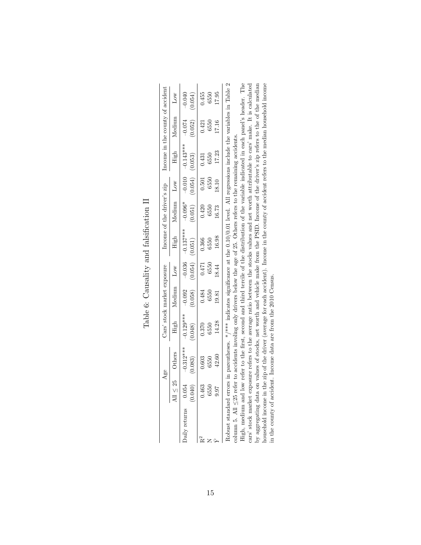<span id="page-16-0"></span>

|               | Age                    |                        | Cars' stock market exposure |                     |                        | Income of the driver's zip |                     | Income in the county of accident |                      |                                                         |
|---------------|------------------------|------------------------|-----------------------------|---------------------|------------------------|----------------------------|---------------------|----------------------------------|----------------------|---------------------------------------------------------|
| All $<$ 25    | Others                 | High                   | Medium                      | Low                 | High                   | Medium                     | Low                 | High                             | Medium               | Low                                                     |
| 24<br>(0.040) | $-0.312***$<br>(0.083) | $-0.129***$<br>(0.048) | $-0.092$<br>(0.058)         | $-0.036$<br>(0.054) | $-0.137***$<br>(0.051) | $-0.096*$<br>(0.051)       | $-0.010$<br>(0.054) | $-0.143***$<br>(0.053)           | $-0.074$<br>(0.052)  | $-0.040$<br>(0.054)                                     |
| 3             | 0.603                  | 0.370                  | 0.484                       |                     | 0.366                  | 0.420                      | $\!0.501$           | 0.431                            |                      | 0.455                                                   |
| B             | 6550<br>42.60          | 6550                   | 6550                        | $0.471$<br>6550     | 6550                   | 6550                       | 6550                | 6550                             | $\frac{0.421}{6550}$ | 6550                                                    |
|               |                        | 14.28                  | 19.81                       | 18.44               | 16.98                  | 16.73                      | 18.10               | 17.23                            |                      | 17.95                                                   |
|               |                        |                        |                             |                     |                        |                            |                     |                                  |                      | $\sim$ $\sim$ $\sim$ $\sim$ $\sim$ $\sim$ $\sim$ $\sim$ |

Table 6: Causality and falsification II Table 6: Causality and falsification II

Robust standard errors in parentheses. \*/\*\*\* indicates significance at the 0.10/0.01 level. All regressions include the variables in Table 2<br>column 5. All  $\leq$ 25 refer to accidents involing only drivers below the age of Robust standard errors in parentheses. \*/\*\*\* indicates significance at the 0.10/0.01 level. All regressions include the variables in Table [2](#page-9-0) High, medium and low refer to the first, second and third tercile of the distribution of the variable indicated in each panel's header. The can soon manner exposure receive to the conservation of the PSID. Income of the driver's zip refers to the of the median household income in the zip of the data are from the 2010 Census.<br>In the county of accident. Income cars' stock market exposure refers to the average ratio between the stocks values and net worth attributable to cars' make. It is calculated by aggregating data on values of stocks, net worth and vehicle make from the PSID. Income of the driver's zip refers to the of the median High, medium and low refer to the first, second and third tercile of the distribution of the variable indicated in each panel's header. The cars' stock market exposure refers to the average ratio between the stocks values and net worth attributable to cars' make. It is calculated column 5. All  $\leq$ 25 refer to accidents involing only drivers below the age of 25. Others refers to the remaining accidents.

household income in the zip of the driver (average for each accident). Income in the county of accident refers to the median household income

in the county of accident. Income data are from the 2010 Census.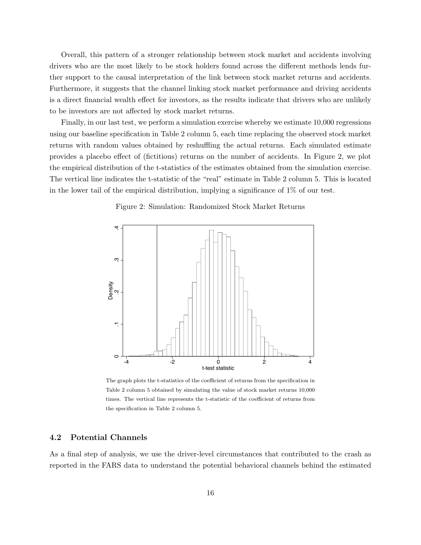Overall, this pattern of a stronger relationship between stock market and accidents involving drivers who are the most likely to be stock holders found across the different methods lends further support to the causal interpretation of the link between stock market returns and accidents. Furthermore, it suggests that the channel linking stock market performance and driving accidents is a direct financial wealth effect for investors, as the results indicate that drivers who are unlikely to be investors are not affected by stock market returns.

Finally, in our last test, we perform a simulation exercise whereby we estimate 10,000 regressions using our baseline specification in Table [2](#page-9-0) column 5, each time replacing the observed stock market returns with random values obtained by reshuffling the actual returns. Each simulated estimate provides a placebo effect of (fictitious) returns on the number of accidents. In Figure [2,](#page-17-0) we plot the empirical distribution of the t-statistics of the estimates obtained from the simulation exercise. The vertical line indicates the t-statistic of the "real" estimate in Table [2](#page-9-0) column 5. This is located in the lower tail of the empirical distribution, implying a significance of 1% of our test.



<span id="page-17-0"></span>

The graph plots the t-statistics of the coefficient of returns from the specification in Table [2](#page-9-0) column 5 obtained by simulating the value of stock market returns 10,000 times. The vertical line represents the t-statistic of the coefficient of returns from the specification in Table [2](#page-9-0) column 5.

#### <span id="page-17-1"></span>4.2 Potential Channels

As a final step of analysis, we use the driver-level circumstances that contributed to the crash as reported in the FARS data to understand the potential behavioral channels behind the estimated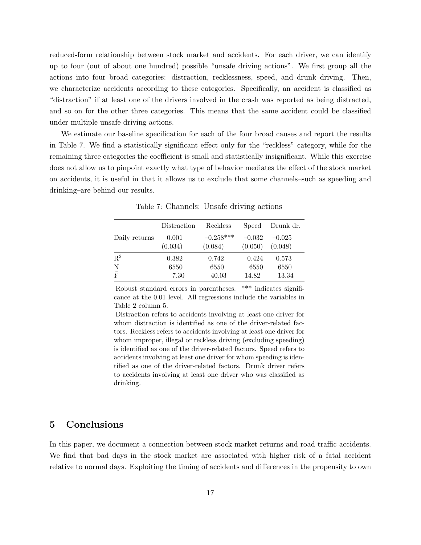reduced-form relationship between stock market and accidents. For each driver, we can identify up to four (out of about one hundred) possible "unsafe driving actions". We first group all the actions into four broad categories: distraction, recklessness, speed, and drunk driving. Then, we characterize accidents according to these categories. Specifically, an accident is classified as "distraction" if at least one of the drivers involved in the crash was reported as being distracted, and so on for the other three categories. This means that the same accident could be classified under multiple unsafe driving actions.

We estimate our baseline specification for each of the four broad causes and report the results in Table [7.](#page-18-1) We find a statistically significant effect only for the "reckless" category, while for the remaining three categories the coefficient is small and statistically insignificant. While this exercise does not allow us to pinpoint exactly what type of behavior mediates the effect of the stock market on accidents, it is useful in that it allows us to exclude that some channels–such as speeding and drinking–are behind our results.

<span id="page-18-1"></span>

|                | Distraction | Reckless    | Speed    | Drunk dr. |
|----------------|-------------|-------------|----------|-----------|
| Daily returns  | 0.001       | $-0.258***$ | $-0.032$ | $-0.025$  |
|                | (0.034)     | (0.084)     | (0.050)  | (0.048)   |
| $\mathbf{R}^2$ | 0.382       | 0.742       | 0.424    | 0.573     |
| N              | 6550        | 6550        | 6550     | 6550      |
| $\bar{\rm v}$  | 7.30        | 40.03       | 14.82    | 13.34     |

Table 7: Channels: Unsafe driving actions

Robust standard errors in parentheses. \*\*\* indicates significance at the 0.01 level. All regressions include the variables in Table [2](#page-9-0) column 5.

Distraction refers to accidents involving at least one driver for whom distraction is identified as one of the driver-related factors. Reckless refers to accidents involving at least one driver for whom improper, illegal or reckless driving (excluding speeding) is identified as one of the driver-related factors. Speed refers to accidents involving at least one driver for whom speeding is identified as one of the driver-related factors. Drunk driver refers to accidents involving at least one driver who was classified as drinking.

## <span id="page-18-0"></span>5 Conclusions

In this paper, we document a connection between stock market returns and road traffic accidents. We find that bad days in the stock market are associated with higher risk of a fatal accident relative to normal days. Exploiting the timing of accidents and differences in the propensity to own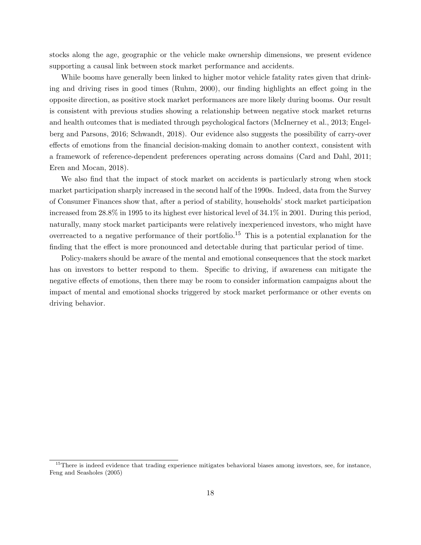stocks along the age, geographic or the vehicle make ownership dimensions, we present evidence supporting a causal link between stock market performance and accidents.

While booms have generally been linked to higher motor vehicle fatality rates given that drinking and driving rises in good times [\(Ruhm, 2000\)](#page-23-5), our finding highlights an effect going in the opposite direction, as positive stock market performances are more likely during booms. Our result is consistent with previous studies showing a relationship between negative stock market returns and health outcomes that is mediated through psychological factors [\(McInerney et al., 2013;](#page-22-13) [Engel](#page-21-8)[berg and Parsons, 2016;](#page-21-8) [Schwandt, 2018\)](#page-23-3). Our evidence also suggests the possibility of carry-over effects of emotions from the financial decision-making domain to another context, consistent with a framework of reference-dependent preferences operating across domains [\(Card and Dahl, 2011;](#page-20-7) [Eren and Mocan, 2018\)](#page-21-11).

We also find that the impact of stock market on accidents is particularly strong when stock market participation sharply increased in the second half of the 1990s. Indeed, data from the Survey of Consumer Finances show that, after a period of stability, households' stock market participation increased from 28.8% in 1995 to its highest ever historical level of 34.1% in 2001. During this period, naturally, many stock market participants were relatively inexperienced investors, who might have overreacted to a negative performance of their portfolio.<sup>[15](#page-19-0)</sup> This is a potential explanation for the finding that the effect is more pronounced and detectable during that particular period of time.

Policy-makers should be aware of the mental and emotional consequences that the stock market has on investors to better respond to them. Specific to driving, if awareness can mitigate the negative effects of emotions, then there may be room to consider information campaigns about the impact of mental and emotional shocks triggered by stock market performance or other events on driving behavior.

<span id="page-19-0"></span> $15$ There is indeed evidence that trading experience mitigates behavioral biases among investors, see, for instance, [Feng and Seasholes](#page-21-13) [\(2005\)](#page-21-13)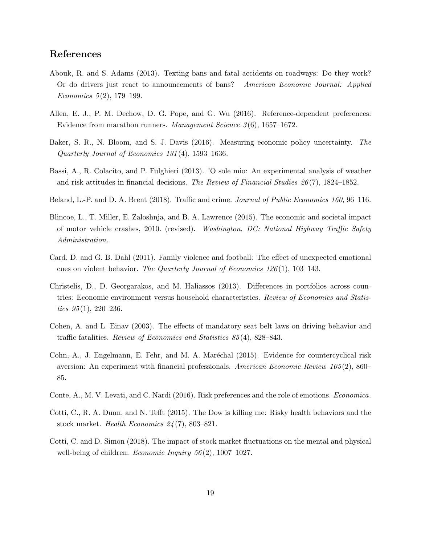## References

- <span id="page-20-5"></span>Abouk, R. and S. Adams (2013). Texting bans and fatal accidents on roadways: Do they work? Or do drivers just react to announcements of bans? American Economic Journal: Applied Economics  $5(2)$ , 179–199.
- <span id="page-20-8"></span>Allen, E. J., P. M. Dechow, D. G. Pope, and G. Wu (2016). Reference-dependent preferences: Evidence from marathon runners. Management Science  $3(6)$ , 1657–1672.
- <span id="page-20-12"></span>Baker, S. R., N. Bloom, and S. J. Davis (2016). Measuring economic policy uncertainty. The Quarterly Journal of Economics 131 (4), 1593–1636.
- <span id="page-20-1"></span>Bassi, A., R. Colacito, and P. Fulghieri (2013). 'O sole mio: An experimental analysis of weather and risk attitudes in financial decisions. The Review of Financial Studies 26 (7), 1824–1852.
- <span id="page-20-11"></span>Beland, L.-P. and D. A. Brent (2018). Traffic and crime. Journal of Public Economics 160, 96–116.
- <span id="page-20-6"></span>Blincoe, L., T. Miller, E. Zaloshnja, and B. A. Lawrence (2015). The economic and societal impact of motor vehicle crashes, 2010. (revised). Washington, DC: National Highway Traffic Safety Administration.
- <span id="page-20-7"></span>Card, D. and G. B. Dahl (2011). Family violence and football: The effect of unexpected emotional cues on violent behavior. The Quarterly Journal of Economics  $126(1)$ , 103–143.
- <span id="page-20-0"></span>Christelis, D., D. Georgarakos, and M. Haliassos (2013). Differences in portfolios across countries: Economic environment versus household characteristics. Review of Economics and Statistics  $95(1)$ ,  $220-236$ .
- <span id="page-20-4"></span>Cohen, A. and L. Einav (2003). The effects of mandatory seat belt laws on driving behavior and traffic fatalities. Review of Economics and Statistics 85 (4), 828–843.
- <span id="page-20-2"></span>Cohn, A., J. Engelmann, E. Fehr, and M. A. Maréchal (2015). Evidence for countercyclical risk aversion: An experiment with financial professionals. American Economic Review 105 (2), 860– 85.
- <span id="page-20-3"></span>Conte, A., M. V. Levati, and C. Nardi (2016). Risk preferences and the role of emotions. Economica.
- <span id="page-20-9"></span>Cotti, C., R. A. Dunn, and N. Tefft (2015). The Dow is killing me: Risky health behaviors and the stock market. Health Economics 24 (7), 803–821.
- <span id="page-20-10"></span>Cotti, C. and D. Simon (2018). The impact of stock market fluctuations on the mental and physical well-being of children. Economic Inquiry  $56(2)$ , 1007–1027.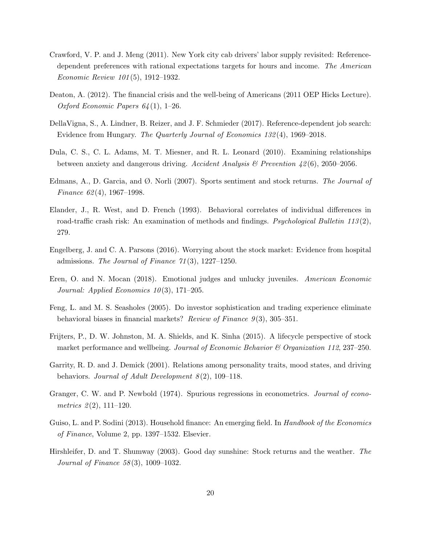- <span id="page-21-6"></span>Crawford, V. P. and J. Meng (2011). New York city cab drivers' labor supply revisited: Referencedependent preferences with rational expectations targets for hours and income. The American Economic Review 101 (5), 1912–1932.
- <span id="page-21-9"></span>Deaton, A. (2012). The financial crisis and the well-being of Americans (2011 OEP Hicks Lecture). Oxford Economic Papers  $64(1)$ , 1–26.
- <span id="page-21-7"></span>DellaVigna, S., A. Lindner, B. Reizer, and J. F. Schmieder (2017). Reference-dependent job search: Evidence from Hungary. The Quarterly Journal of Economics 132 (4), 1969–2018.
- <span id="page-21-3"></span>Dula, C. S., C. L. Adams, M. T. Miesner, and R. L. Leonard (2010). Examining relationships between anxiety and dangerous driving. Accident Analysis & Prevention  $\frac{12}{6}$ , 2050–2056.
- <span id="page-21-5"></span>Edmans, A., D. Garcia, and  $\emptyset$ . Norli (2007). Sports sentiment and stock returns. The Journal of Finance  $62(4)$ , 1967–1998.
- <span id="page-21-1"></span>Elander, J., R. West, and D. French (1993). Behavioral correlates of individual differences in road-traffic crash risk: An examination of methods and findings. *Psychological Bulletin 113(2)*, 279.
- <span id="page-21-8"></span>Engelberg, J. and C. A. Parsons (2016). Worrying about the stock market: Evidence from hospital admissions. The Journal of Finance  $71(3)$ , 1227–1250.
- <span id="page-21-11"></span>Eren, O. and N. Mocan (2018). Emotional judges and unlucky juveniles. American Economic Journal: Applied Economics  $10(3)$ , 171–205.
- <span id="page-21-13"></span>Feng, L. and M. S. Seasholes (2005). Do investor sophistication and trading experience eliminate behavioral biases in financial markets? Review of Finance  $9(3)$ , 305–351.
- <span id="page-21-10"></span>Frijters, P., D. W. Johnston, M. A. Shields, and K. Sinha (2015). A lifecycle perspective of stock market performance and wellbeing. Journal of Economic Behavior & Organization 112, 237–250.
- <span id="page-21-2"></span>Garrity, R. D. and J. Demick (2001). Relations among personality traits, mood states, and driving behaviors. Journal of Adult Development  $8(2)$ , 109–118.
- <span id="page-21-12"></span>Granger, C. W. and P. Newbold (1974). Spurious regressions in econometrics. *Journal of econo*metrics  $2(2)$ , 111-120.
- <span id="page-21-0"></span>Guiso, L. and P. Sodini (2013). Household finance: An emerging field. In Handbook of the Economics of Finance, Volume 2, pp. 1397–1532. Elsevier.
- <span id="page-21-4"></span>Hirshleifer, D. and T. Shumway (2003). Good day sunshine: Stock returns and the weather. The Journal of Finance 58 (3), 1009–1032.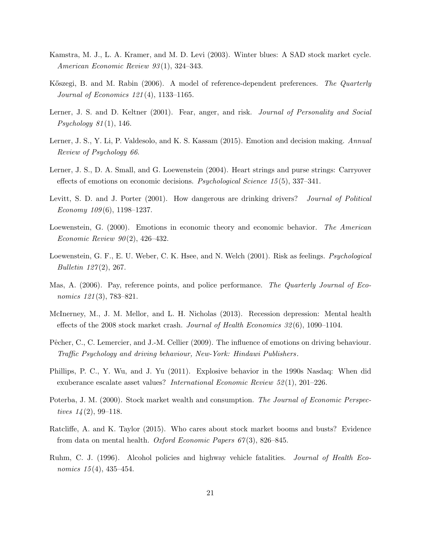- <span id="page-22-11"></span>Kamstra, M. J., L. A. Kramer, and M. D. Levi (2003). Winter blues: A SAD stock market cycle. American Economic Review 93 (1), 324–343.
- <span id="page-22-9"></span>Kőszegi, B. and M. Rabin (2006). A model of reference-dependent preferences. The Quarterly Journal of Economics 121 (4), 1133–1165.
- <span id="page-22-5"></span>Lerner, J. S. and D. Keltner (2001). Fear, anger, and risk. *Journal of Personality and Social* Psychology  $81(1)$ , 146.
- <span id="page-22-3"></span>Lerner, J. S., Y. Li, P. Valdesolo, and K. S. Kassam (2015). Emotion and decision making. Annual Review of Psychology 66.
- <span id="page-22-2"></span>Lerner, J. S., D. A. Small, and G. Loewenstein (2004). Heart strings and purse strings: Carryover effects of emotions on economic decisions. Psychological Science 15 (5), 337–341.
- <span id="page-22-8"></span>Levitt, S. D. and J. Porter (2001). How dangerous are drinking drivers? *Journal of Political* Economy  $109(6)$ , 1198-1237.
- <span id="page-22-1"></span>Loewenstein, G. (2000). Emotions in economic theory and economic behavior. The American Economic Review  $90(2)$ , 426-432.
- <span id="page-22-4"></span>Loewenstein, G. F., E. U. Weber, C. K. Hsee, and N. Welch (2001). Risk as feelings. *Psychological Bulletin 127(2)*, 267.
- <span id="page-22-12"></span>Mas, A. (2006). Pay, reference points, and police performance. The Quarterly Journal of Economics 121(3), 783–821.
- <span id="page-22-13"></span>McInerney, M., J. M. Mellor, and L. H. Nicholas (2013). Recession depression: Mental health effects of the 2008 stock market crash. Journal of Health Economics  $32(6)$ , 1090–1104.
- <span id="page-22-6"></span>Pêcher, C., C. Lemercier, and J.-M. Cellier (2009). The influence of emotions on driving behaviour. Traffic Psychology and driving behaviour, New-York: Hindawi Publishers .
- <span id="page-22-10"></span>Phillips, P. C., Y. Wu, and J. Yu (2011). Explosive behavior in the 1990s Nasdaq: When did exuberance escalate asset values? International Economic Review 52 (1), 201–226.
- <span id="page-22-0"></span>Poterba, J. M. (2000). Stock market wealth and consumption. The Journal of Economic Perspectives  $14(2)$ , 99-118.
- <span id="page-22-14"></span>Ratcliffe, A. and K. Taylor (2015). Who cares about stock market booms and busts? Evidence from data on mental health. Oxford Economic Papers  $67(3)$ , 826–845.
- <span id="page-22-7"></span>Ruhm, C. J. (1996). Alcohol policies and highway vehicle fatalities. Journal of Health Economics  $15(4)$ , 435-454.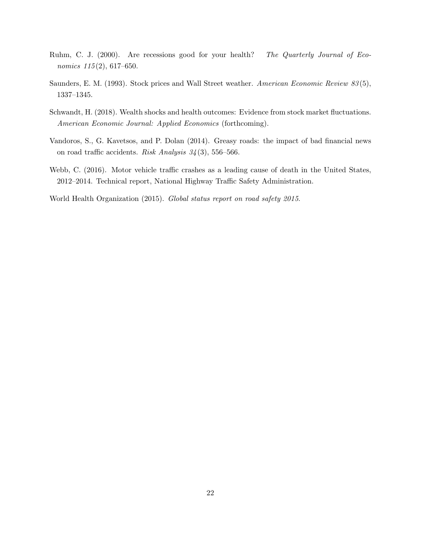- <span id="page-23-5"></span>Ruhm, C. J. (2000). Are recessions good for your health? The Quarterly Journal of Economics  $115(2)$ , 617-650.
- <span id="page-23-2"></span>Saunders, E. M. (1993). Stock prices and Wall Street weather. American Economic Review 83 (5), 1337–1345.
- <span id="page-23-3"></span>Schwandt, H. (2018). Wealth shocks and health outcomes: Evidence from stock market fluctuations. American Economic Journal: Applied Economics (forthcoming).
- <span id="page-23-4"></span>Vandoros, S., G. Kavetsos, and P. Dolan (2014). Greasy roads: the impact of bad financial news on road traffic accidents. Risk Analysis 34 (3), 556–566.
- <span id="page-23-1"></span>Webb, C. (2016). Motor vehicle traffic crashes as a leading cause of death in the United States, 2012–2014. Technical report, National Highway Traffic Safety Administration.

<span id="page-23-0"></span>World Health Organization (2015). Global status report on road safety 2015.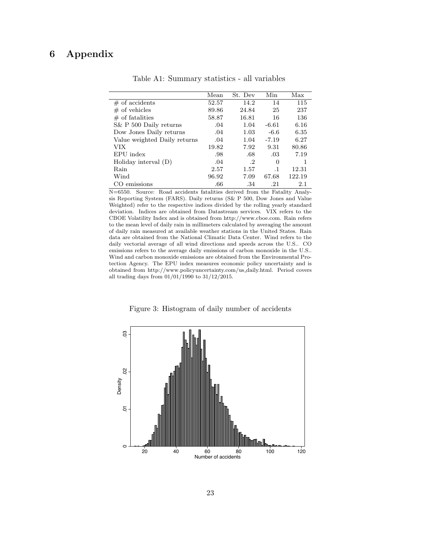## <span id="page-24-0"></span>6 Appendix

|                              | Mean  | St. Dev   | Min       | Max    |
|------------------------------|-------|-----------|-----------|--------|
| $#$ of accidents             | 52.57 | 14.2      | 14        | 115    |
| $#$ of vehicles              | 89.86 | 24.84     | 25        | 237    |
| $\#$ of fatalities           | 58.87 | 16.81     | 16        | 136    |
| S& P 500 Daily returns       | .04   | 1.04      | $-6.61$   | 6.16   |
| Dow Jones Daily returns      | .04   | 1.03      | $-6.6$    | 6.35   |
| Value weighted Daily returns | .04   | 1.04      | $-7.19$   | 6.27   |
| VIX                          | 19.82 | 7.92      | 9.31      | 80.86  |
| EPU index                    | .98   | .68       | .03       | 7.19   |
| Holiday interval $(D)$       | .04   | $\cdot^2$ | $\Omega$  | 1      |
| Rain                         | 2.57  | 1.57      | $\cdot$ 1 | 12.31  |
| Wind                         | 96.92 | 7.09      | 67.68     | 122.19 |
| emissions                    | .66   | .34       | .21       | 2.1    |

Table A1: Summary statistics - all variables

N=6550. Source: Road accidents fatalities derived from the Fatality Analysis Reporting System (FARS). Daily returns (S& P 500, Dow Jones and Value Weighted) refer to the respective indices divided by the rolling yearly standard deviation. Indices are obtained from Datastream services. VIX refers to the CBOE Volatility Index and is obtained from http://www.cboe.com. Rain refers to the mean level of daily rain in millimeters calculated by averaging the amount of daily rain measured at available weather stations in the United States. Rain data are obtained from the National Climatic Data Center. Wind refers to the daily vectorial average of all wind directions and speeds across the U.S.. CO emissions refers to the average daily emissions of carbon monoxide in the U.S.. Wind and carbon monoxide emissions are obtained from the Environmental Protection Agency. The EPU index measures economic policy uncertainty and is obtained from http://www.policyuncertainty.com/us daily.html. Period covers all trading days from 01/01/1990 to 31/12/2015.

Figure 3: Histogram of daily number of accidents

<span id="page-24-1"></span>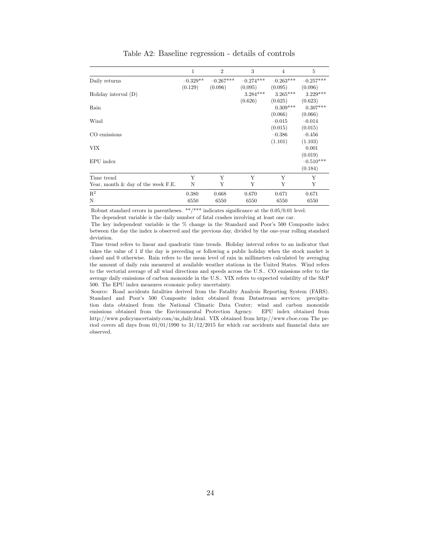<span id="page-25-0"></span>

|                                       | 1          | $\overline{2}$ | 3           | $\overline{4}$ | 5           |
|---------------------------------------|------------|----------------|-------------|----------------|-------------|
| Daily returns                         | $-0.329**$ | $-0.267***$    | $-0.274***$ | $-0.263***$    | $-0.257***$ |
|                                       | (0.129)    | (0.096)        | (0.095)     | (0.095)        | (0.096)     |
| Holiday interval $(D)$                |            |                | $3.284***$  | $3.265***$     | $3.229***$  |
|                                       |            |                | (0.626)     | (0.625)        | (0.623)     |
| Rain                                  |            |                |             | $0.309***$     | $0.307***$  |
|                                       |            |                |             | (0.066)        | (0.066)     |
| Wind                                  |            |                |             | $-0.015$       | $-0.014$    |
|                                       |            |                |             | (0.015)        | (0.015)     |
| CO emissions                          |            |                |             | $-0.386$       | $-0.456$    |
|                                       |            |                |             | (1.101)        | (1.103)     |
| <b>VIX</b>                            |            |                |             |                | 0.001       |
|                                       |            |                |             |                | (0.019)     |
| EPU index                             |            |                |             |                | $-0.510***$ |
|                                       |            |                |             |                | (0.184)     |
| Time trend                            | Y          | Y              | Y           | Y              | Y           |
| Year, month $\&$ day of the week F.E. | N          | Y              | Y           | Y              | Y           |
| $\mathbb{R}^2$                        | 0.380      | 0.668          | 0.670       | 0.671          | 0.671       |
| N                                     | 6550       | 6550           | 6550        | 6550           | 6550        |

Table A2: Baseline regression - details of controls

Robust standard errors in parentheses. \*\*/\*\*\* indicates significance at the  $0.05/0.01$  level.

The dependent variable is the daily number of fatal crashes involving at least one car.

The key independent variable is the % change in the Standard and Poor's 500 Composite index between the day the index is observed and the previous day, divided by the one-year rolling standard deviation.

Time trend refers to linear and quadratic time trends. Holiday interval refers to an indicator that takes the value of 1 if the day is preceding or following a public holiday when the stock market is closed and 0 otherwise. Rain refers to the mean level of rain in millimeters calculated by averaging the amount of daily rain measured at available weather stations in the United States. Wind refers to the vectorial average of all wind directions and speeds across the U.S.. CO emissions refer to the average daily emissions of carbon monoxide in the U.S.. VIX refers to expected volatility of the S&P 500. The EPU index measures economic policy uncertainty.

Source: Road accidents fatalities derived from the Fatality Analysis Reporting System (FARS). Standard and Poor's 500 Composite index obtained from Datastream services; precipitation data obtained from the National Climatic Data Center; wind and carbon monoxide emissions obtained from the Environmental Protection Agency. EPU index obtained from http://www.policyuncertainty.com/us daily.html. VIX obtained from http://www.cboe.com The period covers all days from 01/01/1990 to 31/12/2015 for which car accidents and financial data are observed.